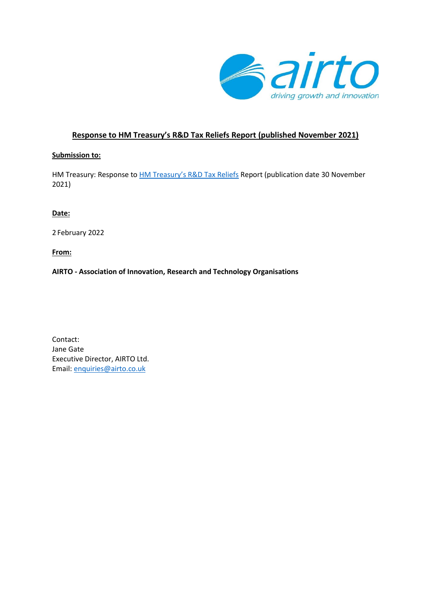

# **Response to HM Treasury's R&D Tax Reliefs Report (published November 2021)**

### **Submission to:**

HM Treasury: Response to **[HM Treasury's R&D Tax Reliefs](https://assets.publishing.service.gov.uk/government/uploads/system/uploads/attachment_data/file/1037348/RD_Tax_Reliefs.pdf)** Report (publication date 30 November 2021)

## **Date:**

2 February 2022

**From:** 

**AIRTO - Association of Innovation, Research and Technology Organisations**

Contact: Jane Gate Executive Director, AIRTO Ltd. Email: [enquiries@airto.co.uk](mailto:enquiries@airto.co.uk)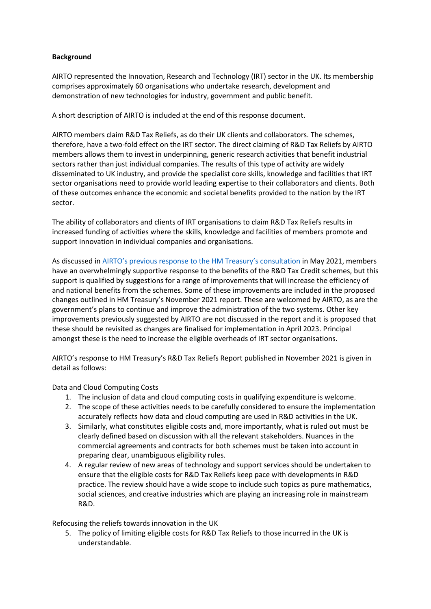### **Background**

AIRTO represented the Innovation, Research and Technology (IRT) sector in the UK. Its membership comprises approximately 60 organisations who undertake research, development and demonstration of new technologies for industry, government and public benefit.

A short description of AIRTO is included at the end of this response document.

AIRTO members claim R&D Tax Reliefs, as do their UK clients and collaborators. The schemes, therefore, have a two-fold effect on the IRT sector. The direct claiming of R&D Tax Reliefs by AIRTO members allows them to invest in underpinning, generic research activities that benefit industrial sectors rather than just individual companies. The results of this type of activity are widely disseminated to UK industry, and provide the specialist core skills, knowledge and facilities that IRT sector organisations need to provide world leading expertise to their collaborators and clients. Both of these outcomes enhance the economic and societal benefits provided to the nation by the IRT sector.

The ability of collaborators and clients of IRT organisations to claim R&D Tax Reliefs results in increased funding of activities where the skills, knowledge and facilities of members promote and support innovation in individual companies and organisations.

As discussed in AIRTO's previous [response to the](https://www.airto.co.uk/wp-content/uploads/2021/05/RD-Tax-Reliefs-consultation-AIRTO-Response-to-the-call-for-written-evidence-May-21.pdf) HM Treasury's consultation in May 2021, members have an overwhelmingly supportive response to the benefits of the R&D Tax Credit schemes, but this support is qualified by suggestions for a range of improvements that will increase the efficiency of and national benefits from the schemes. Some of these improvements are included in the proposed changes outlined in HM Treasury's November 2021 report. These are welcomed by AIRTO, as are the government's plans to continue and improve the administration of the two systems. Other key improvements previously suggested by AIRTO are not discussed in the report and it is proposed that these should be revisited as changes are finalised for implementation in April 2023. Principal amongst these is the need to increase the eligible overheads of IRT sector organisations.

AIRTO's response to HM Treasury's R&D Tax Reliefs Report published in November 2021 is given in detail as follows:

Data and Cloud Computing Costs

- 1. The inclusion of data and cloud computing costs in qualifying expenditure is welcome.
- 2. The scope of these activities needs to be carefully considered to ensure the implementation accurately reflects how data and cloud computing are used in R&D activities in the UK.
- 3. Similarly, what constitutes eligible costs and, more importantly, what is ruled out must be clearly defined based on discussion with all the relevant stakeholders. Nuances in the commercial agreements and contracts for both schemes must be taken into account in preparing clear, unambiguous eligibility rules.
- 4. A regular review of new areas of technology and support services should be undertaken to ensure that the eligible costs for R&D Tax Reliefs keep pace with developments in R&D practice. The review should have a wide scope to include such topics as pure mathematics, social sciences, and creative industries which are playing an increasing role in mainstream R&D.

Refocusing the reliefs towards innovation in the UK

5. The policy of limiting eligible costs for R&D Tax Reliefs to those incurred in the UK is understandable.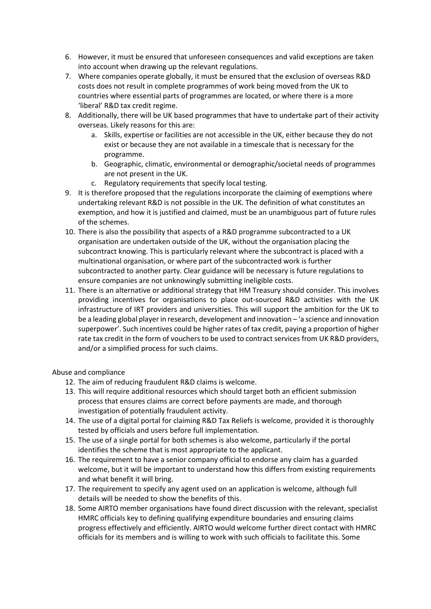- 6. However, it must be ensured that unforeseen consequences and valid exceptions are taken into account when drawing up the relevant regulations.
- 7. Where companies operate globally, it must be ensured that the exclusion of overseas R&D costs does not result in complete programmes of work being moved from the UK to countries where essential parts of programmes are located, or where there is a more 'liberal' R&D tax credit regime.
- 8. Additionally, there will be UK based programmes that have to undertake part of their activity overseas. Likely reasons for this are:
	- a. Skills, expertise or facilities are not accessible in the UK, either because they do not exist or because they are not available in a timescale that is necessary for the programme.
	- b. Geographic, climatic, environmental or demographic/societal needs of programmes are not present in the UK.
	- c. Regulatory requirements that specify local testing.
- 9. It is therefore proposed that the regulations incorporate the claiming of exemptions where undertaking relevant R&D is not possible in the UK. The definition of what constitutes an exemption, and how it is justified and claimed, must be an unambiguous part of future rules of the schemes.
- 10. There is also the possibility that aspects of a R&D programme subcontracted to a UK organisation are undertaken outside of the UK, without the organisation placing the subcontract knowing. This is particularly relevant where the subcontract is placed with a multinational organisation, or where part of the subcontracted work is further subcontracted to another party. Clear guidance will be necessary is future regulations to ensure companies are not unknowingly submitting ineligible costs.
- 11. There is an alternative or additional strategy that HM Treasury should consider. This involves providing incentives for organisations to place out-sourced R&D activities with the UK infrastructure of IRT providers and universities. This will support the ambition for the UK to be a leading global player in research, development and innovation – 'a science and innovation superpower'. Such incentives could be higher rates of tax credit, paying a proportion of higher rate tax credit in the form of vouchers to be used to contract services from UK R&D providers, and/or a simplified process for such claims.

Abuse and compliance

- 12. The aim of reducing fraudulent R&D claims is welcome.
- 13. This will require additional resources which should target both an efficient submission process that ensures claims are correct before payments are made, and thorough investigation of potentially fraudulent activity.
- 14. The use of a digital portal for claiming R&D Tax Reliefs is welcome, provided it is thoroughly tested by officials and users before full implementation.
- 15. The use of a single portal for both schemes is also welcome, particularly if the portal identifies the scheme that is most appropriate to the applicant.
- 16. The requirement to have a senior company official to endorse any claim has a guarded welcome, but it will be important to understand how this differs from existing requirements and what benefit it will bring.
- 17. The requirement to specify any agent used on an application is welcome, although full details will be needed to show the benefits of this.
- 18. Some AIRTO member organisations have found direct discussion with the relevant, specialist HMRC officials key to defining qualifying expenditure boundaries and ensuring claims progress effectively and efficiently. AIRTO would welcome further direct contact with HMRC officials for its members and is willing to work with such officials to facilitate this. Some